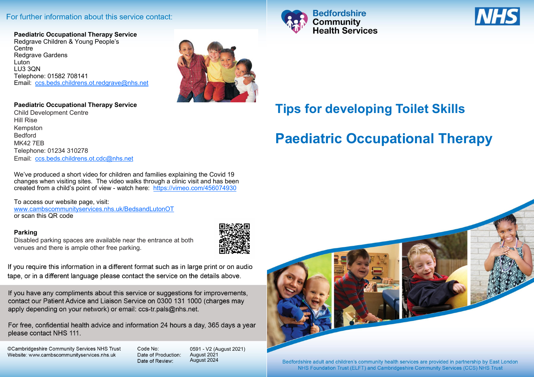## For further information about this service contact:

**Paediatric Occupational Therapy Service** Redgrave Children & Young People's **Centre** Redgrave Gardens Luton LU3 3QN Telephone: 01582 708141 Email: [ccs.beds.childrens.ot.redgrave@nhs.net](mailto:ccs.beds.childrens.ot.redgrave@nhs.net)



### **Paediatric Occupational Therapy Service**

Child Development Centre Hill Rise Kempston Bedford MK42 7EB Telephone: 01234 310278 Email: [ccs.beds.childrens.ot.cdc@nhs.net](mailto:ccs.beds.childrens.ot.cdc@nhs.net)

We've produced a short video for children and families explaining the Covid 19 changes when visiting sites. The video walks through a clinic visit and has been created from a child's point of view - watch here: <https://vimeo.com/456074930>

To access our website page, visit: [www.cambscommunityservices.nhs.uk/BedsandLutonOT](http://www.cambscommunityservices.nhs.uk/BedsandLutonOT)  or scan this QR code

### **Parking**

Disabled parking spaces are available near the entrance at both venues and there is ample other free parking.



If you require this information in a different format such as in large print or on audio tape, or in a different language please contact the service on the details above.

If you have any compliments about this service or suggestions for improvements, contact our Patient Advice and Liaison Service on 0300 131 1000 (charges may apply depending on your network) or email: ccs-tr.pals@nhs.net.

For free, confidential health advice and information 24 hours a day, 365 days a year please contact NHS 111.

©Cambridgeshire Community Services NHS Trust Website: www.cambscommunityservices.nhs.uk

Code No: Date of Production: Date of Review:

0591 - V2 (August 2021) August 2021 August 2024





# **Tips for developing Toilet Skills**

# **Paediatric Occupational Therapy**



Bedfordshire adult and children's community health services are provided in partnership by East London NHS Foundation Trust (ELFT) and Cambridgeshire Community Services (CCS) NHS Trust